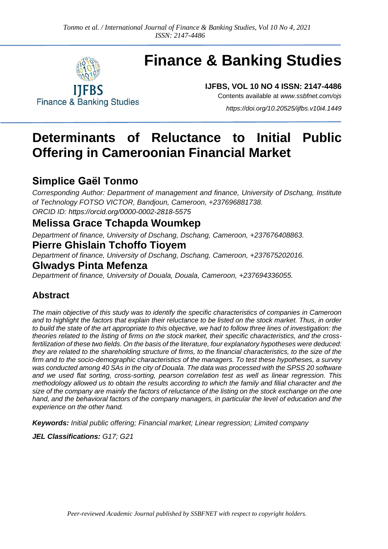

# **Finance & Banking Studies**

**IJFBS, VOL 10 NO 4 ISSN: 2147-4486** Contents available at *[www.ssbfnet.com/ojs](http://www.ssbfnet.com/ojs)*

**Finance & Banking Studies** 

*<https://doi.org/10.20525/ijfbs.v10i4.1449>*

## **Determinants of Reluctance to Initial Public Offering in Cameroonian Financial Market**

### **Simplice Gaël Tonmo**

*Corresponding Author: Department of management and finance, University of Dschang, Institute of Technology FOTSO VICTOR, Bandjoun, Cameroon, +237696881738. ORCID ID:<https://orcid.org/0000-0002-2818-5575>*

### **Melissa Grace Tchapda Woumkep**

*Department of finance, University of Dschang, Dschang, Cameroon, +237676408863.*

### **Pierre Ghislain Tchoffo Tioyem**

*Department of finance, University of Dschang, Dschang, Cameroon, +237675202016.*

### **Glwadys Pinta Mefenza**

*Department of finance, University of Douala, Douala, Cameroon, +237694336055.*

### **Abstract**

*The main objective of this study was to identify the specific characteristics of companies in Cameroon and to highlight the factors that explain their reluctance to be listed on the stock market. Thus, in order to build the state of the art appropriate to this objective, we had to follow three lines of investigation: the theories related to the listing of firms on the stock market, their specific characteristics, and the crossfertilization of these two fields. On the basis of the literature, four explanatory hypotheses were deduced: they are related to the shareholding structure of firms, to the financial characteristics, to the size of the firm and to the socio-demographic characteristics of the managers. To test these hypotheses, a survey was conducted among 40 SAs in the city of Douala. The data was processed with the SPSS 20 software and we used flat sorting, cross-sorting, pearson correlation test as well as linear regression. This methodology allowed us to obtain the results according to which the family and filial character and the size of the company are mainly the factors of reluctance of the listing on the stock exchange on the one*  hand, and the behavioral factors of the company managers, in particular the level of education and the *experience on the other hand.*

*Keywords: Initial public offering; Financial market; Linear regression; Limited company*

*JEL Classifications: G17; G21*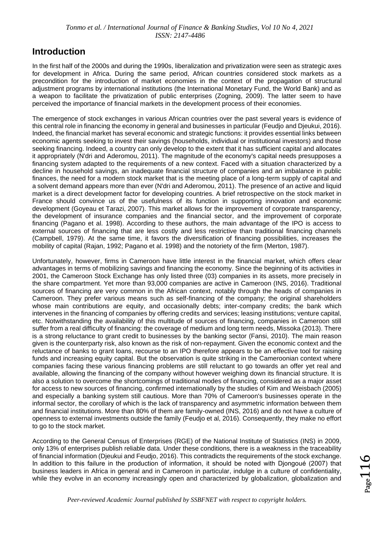### **Introduction**

In the first half of the 2000s and during the 1990s, liberalization and privatization were seen as strategic axes for development in Africa. During the same period, African countries considered stock markets as a precondition for the introduction of market economies in the context of the propagation of structural adjustment programs by international institutions (the International Monetary Fund, the World Bank) and as a weapon to facilitate the privatization of public enterprises (Zogning, 2009). The latter seem to have perceived the importance of financial markets in the development process of their economies.

The emergence of stock exchanges in various African countries over the past several years is evidence of this central role in financing the economy in general and businesses in particular (Feudjo and Djeukui, 2016). Indeed, the financial market has several economic and strategic functions: it provides essential links between economic agents seeking to invest their savings (households, individual or institutional investors) and those seeking financing. Indeed, a country can only develop to the extent that it has sufficient capital and allocates it appropriately (N'dri and Aderomou, 2011). The magnitude of the economy's capital needs presupposes a financing system adapted to the requirements of a new context. Faced with a situation characterized by a decline in household savings, an inadequate financial structure of companies and an imbalance in public finances, the need for a modern stock market that is the meeting place of a long-term supply of capital and a solvent demand appears more than ever (N'dri and Aderomou, 2011). The presence of an active and liquid market is a direct development factor for developing countries. A brief retrospective on the stock market in France should convince us of the usefulness of its function in supporting innovation and economic development (Goyeau et Tarazi, 2007). This market allows for the improvement of corporate transparency, the development of insurance companies and the financial sector, and the improvement of corporate financing (Pagano et al. 1998). According to these authors, the main advantage of the IPO is access to external sources of financing that are less costly and less restrictive than traditional financing channels (Campbell, 1979). At the same time, it favors the diversification of financing possibilities, increases the mobility of capital (Rajan, 1992; Pagano et al. 1998) and the notoriety of the firm (Merton, 1987).

Unfortunately, however, firms in Cameroon have little interest in the financial market, which offers clear advantages in terms of mobilizing savings and financing the economy. Since the beginning of its activities in 2001, the Cameroon Stock Exchange has only listed three (03) companies in its assets, more precisely in the share compartment. Yet more than 93,000 companies are active in Cameroon (INS, 2016). Traditional sources of financing are very common in the African context, notably through the heads of companies in Cameroon. They prefer various means such as self-financing of the company; the original shareholders whose main contributions are equity, and occasionally debts; inter-company credits; the bank which intervenes in the financing of companies by offering credits and services; leasing institutions; venture capital, etc. Notwithstanding the availability of this multitude of sources of financing, companies in Cameroon still suffer from a real difficulty of financing: the coverage of medium and long term needs, Missoka (2013). There is a strong reluctance to grant credit to businesses by the banking sector (Fansi, 2010). The main reason given is the counterparty risk, also known as the risk of non-repayment. Given the economic context and the reluctance of banks to grant loans, recourse to an IPO therefore appears to be an effective tool for raising funds and increasing equity capital. But the observation is quite striking in the Cameroonian context where companies facing these various financing problems are still reluctant to go towards an offer yet real and available, allowing the financing of the company without however weighing down its financial structure. It is also a solution to overcome the shortcomings of traditional modes of financing, considered as a major asset for access to new sources of financing, confirmed internationally by the studies of Kim and Weisbach (2005) and especially a banking system still cautious. More than 70% of Cameroon's businesses operate in the informal sector, the corollary of which is the lack of transparency and asymmetric information between them and financial institutions. More than 80% of them are family-owned (INS, 2016) and do not have a culture of openness to external investments outside the family (Feudjo et al, 2016). Consequently, they make no effort to go to the stock market.

According to the General Census of Enterprises (RGE) of the National Institute of Statistics (INS) in 2009, only 13% of enterprises publish reliable data. Under these conditions, there is a weakness in the traceability of financial information (Djeukui and Feudjo, 2016). This contradicts the requirements of the stock exchange. In addition to this failure in the production of information, it should be noted with Djongoué (2007) that business leaders in Africa in general and in Cameroon in particular, indulge in a culture of confidentiality, while they evolve in an economy increasingly open and characterized by globalization, globalization and

 $\rm_{2age}116$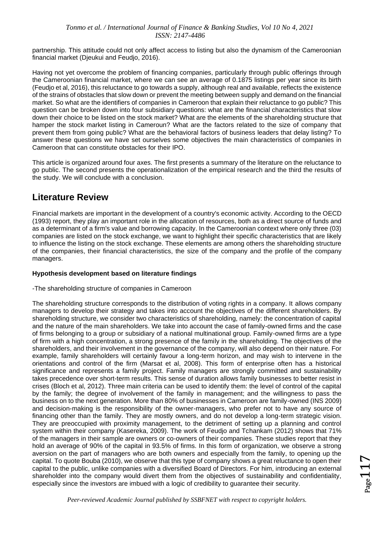partnership. This attitude could not only affect access to listing but also the dynamism of the Cameroonian financial market (Djeukui and Feudjo, 2016).

Having not yet overcome the problem of financing companies, particularly through public offerings through the Cameroonian financial market, where we can see an average of 0.1875 listings per year since its birth (Feudjo et al, 2016), this reluctance to go towards a supply, although real and available, reflects the existence of the strains of obstacles that slow down or prevent the meeting between supply and demand on the financial market. So what are the identifiers of companies in Cameroon that explain their reluctance to go public? This question can be broken down into four subsidiary questions: what are the financial characteristics that slow down their choice to be listed on the stock market? What are the elements of the shareholding structure that hamper the stock market listing in Cameroun? What are the factors related to the size of company that prevent them from going public? What are the behavioral factors of business leaders that delay listing? To answer these questions we have set ourselves some objectives the main characteristics of companies in Cameroon that can constitute obstacles for their IPO.

This article is organized around four axes. The first presents a summary of the literature on the reluctance to go public. The second presents the operationalization of the empirical research and the third the results of the study. We will conclude with a conclusion.

### **Literature Review**

Financial markets are important in the development of a country's economic activity. According to the OECD (1993) report, they play an important role in the allocation of resources, both as a direct source of funds and as a determinant of a firm's value and borrowing capacity. In the Cameroonian context where only three (03) companies are listed on the stock exchange, we want to highlight their specific characteristics that are likely to influence the listing on the stock exchange. These elements are among others the shareholding structure of the companies, their financial characteristics, the size of the company and the profile of the company managers.

#### **Hypothesis development based on literature findings**

#### -The shareholding structure of companies in Cameroon

The shareholding structure corresponds to the distribution of voting rights in a company. It allows company managers to develop their strategy and takes into account the objectives of the different shareholders. By shareholding structure, we consider two characteristics of shareholding, namely: the concentration of capital and the nature of the main shareholders. We take into account the case of family-owned firms and the case of firms belonging to a group or subsidiary of a national multinational group. Family-owned firms are a type of firm with a high concentration, a strong presence of the family in the shareholding. The objectives of the shareholders, and their involvement in the governance of the company, will also depend on their nature. For example, family shareholders will certainly favour a long-term horizon, and may wish to intervene in the orientations and control of the firm (Marsat et al, 2008). This form of enterprise often has a historical significance and represents a family project. Family managers are strongly committed and sustainability takes precedence over short-term results. This sense of duration allows family businesses to better resist in crises (Bloch et al, 2012). Three main criteria can be used to identify them: the level of control of the capital by the family; the degree of involvement of the family in management; and the willingness to pass the business on to the next generation. More than 80% of businesses in Cameroon are family-owned (INS 2009) and decision-making is the responsibility of the owner-managers, who prefer not to have any source of financing other than the family. They are mostly owners, and do not develop a long-term strategic vision. They are preoccupied with proximity management, to the detriment of setting up a planning and control system within their company (Kasereka, 2009). The work of Feudjo and Tchankam (2012) shows that 71% of the managers in their sample are owners or co-owners of their companies. These studies report that they hold an average of 90% of the capital in 93.5% of firms. In this form of organization, we observe a strong aversion on the part of managers who are both owners and especially from the family, to opening up the capital. To quote Bouba (2010), we observe that this type of company shows a great reluctance to open their capital to the public, unlike companies with a diversified Board of Directors. For him, introducing an external shareholder into the company would divert them from the objectives of sustainability and confidentiality, especially since the investors are imbued with a logic of credibility to guarantee their security.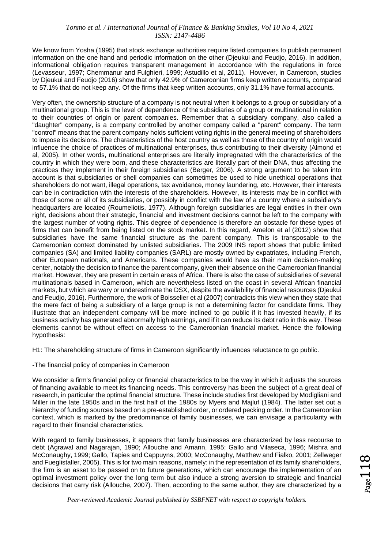We know from Yosha (1995) that stock exchange authorities require listed companies to publish permanent information on the one hand and periodic information on the other (Djeukui and Feudjo, 2016). In addition, informational obligation requires transparent management in accordance with the regulations in force (Levasseur, 1997; Chemmanur and Fulghieri, 1999; Astudillo et al, 2011). However, in Cameroon, studies by Djeukui and Feudjo (2016) show that only 42.9% of Cameroonian firms keep written accounts, compared to 57.1% that do not keep any. Of the firms that keep written accounts, only 31.1% have formal accounts.

Very often, the ownership structure of a company is not neutral when it belongs to a group or subsidiary of a multinational group. This is the level of dependence of the subsidiaries of a group or multinational in relation to their countries of origin or parent companies. Remember that a subsidiary company, also called a "daughter" company, is a company controlled by another company called a "parent" company. The term "control" means that the parent company holds sufficient voting rights in the general meeting of shareholders to impose its decisions. The characteristics of the host country as well as those of the country of origin would influence the choice of practices of multinational enterprises, thus contributing to their diversity (Almond et al, 2005). In other words, multinational enterprises are literally impregnated with the characteristics of the country in which they were born, and these characteristics are literally part of their DNA, thus affecting the practices they implement in their foreign subsidiaries (Berger, 2006). A strong argument to be taken into account is that subsidiaries or shell companies can sometimes be used to hide unethical operations that shareholders do not want, illegal operations, tax avoidance, money laundering, etc. However, their interests can be in contradiction with the interests of the shareholders. However, its interests may be in conflict with those of some or all of its subsidiaries, or possibly in conflict with the law of a country where a subsidiary's headquarters are located (Roumeliotis, 1977). Although foreign subsidiaries are legal entities in their own right, decisions about their strategic, financial and investment decisions cannot be left to the company with the largest number of voting rights. This degree of dependence is therefore an obstacle for these types of firms that can benefit from being listed on the stock market. In this regard, Amelon et al (2012) show that subsidiaries have the same financial structure as the parent company. This is transposable to the Cameroonian context dominated by unlisted subsidiaries. The 2009 INS report shows that public limited companies (SA) and limited liability companies (SARL) are mostly owned by expatriates, including French, other European nationals, and Americans. These companies would have as their main decision-making center, notably the decision to finance the parent company, given their absence on the Cameroonian financial market. However, they are present in certain areas of Africa. There is also the case of subsidiaries of several multinationals based in Cameroon, which are nevertheless listed on the coast in several African financial markets, but which are wary or underestimate the DSX, despite the availability of financial resources (Djeukui and Feudjo, 2016). Furthermore, the work of Boisselier et al (2007) contradicts this view when they state that the mere fact of being a subsidiary of a large group is not a determining factor for candidate firms. They illustrate that an independent company will be more inclined to go public if it has invested heavily, if its business activity has generated abnormally high earnings, and if it can reduce its debt ratio in this way. These elements cannot be without effect on access to the Cameroonian financial market. Hence the following hypothesis:

H1: The shareholding structure of firms in Cameroon significantly influences reluctance to go public.

-The financial policy of companies in Cameroon

We consider a firm's financial policy or financial characteristics to be the way in which it adjusts the sources of financing available to meet its financing needs. This controversy has been the subject of a great deal of research, in particular the optimal financial structure. These include studies first developed by Modigliani and Miller in the late 1950s and in the first half of the 1980s by Myers and Majluf (1984). The latter set out a hierarchy of funding sources based on a pre-established order, or ordered pecking order. In the Cameroonian context, which is marked by the predominance of family businesses, we can envisage a particularity with regard to their financial characteristics.

With regard to family businesses, it appears that family businesses are characterized by less recourse to debt (Agrawal and Nagarajan, 1990; Allouche and Amann, 1995; Gallo and Vilaseca, 1996; Mishra and McConaughy, 1999; Gallo, Tapies and Cappuyns, 2000; McConaughy, Matthew and Fialko, 2001; Zellweger and Fueglistaller, 2005). This is for two main reasons, namely: in the representation of its family shareholders, the firm is an asset to be passed on to future generations, which can encourage the implementation of an optimal investment policy over the long term but also induce a strong aversion to strategic and financial decisions that carry risk (Allouche, 2007). Then, according to the same author, they are characterized by a

 $_{\rm{Page}}$ 18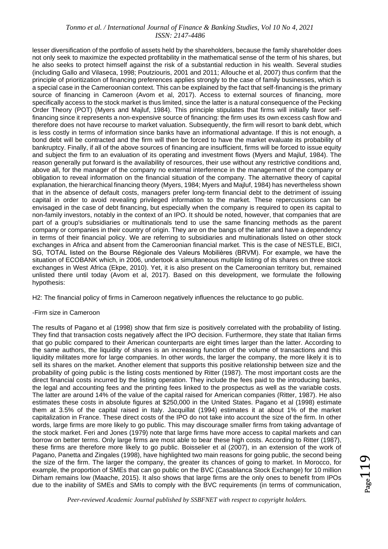lesser diversification of the portfolio of assets held by the shareholders, because the family shareholder does not only seek to maximize the expected profitability in the mathematical sense of the term of his shares, but he also seeks to protect himself against the risk of a substantial reduction in his wealth. Several studies (including Gallo and Vilaseca, 1998; Poutziouris, 2001 and 2011; Allouche et al, 2007) thus confirm that the principle of prioritization of financing preferences applies strongly to the case of family businesses, which is a special case in the Cameroonian context. This can be explained by the fact that self-financing is the primary source of financing in Cameroon (Avom et al, 2017). Access to external sources of financing, more specifically access to the stock market is thus limited, since the latter is a natural consequence of the Pecking Order Theory (POT) (Myers and Majluf, 1984). This principle stipulates that firms will initially favor selffinancing since it represents a non-expensive source of financing: the firm uses its own excess cash flow and therefore does not have recourse to market valuation. Subsequently, the firm will resort to bank debt, which is less costly in terms of information since banks have an informational advantage. If this is not enough, a bond debt will be contracted and the firm will then be forced to have the market evaluate its probability of bankruptcy. Finally, if all of the above sources of financing are insufficient, firms will be forced to issue equity and subject the firm to an evaluation of its operating and investment flows (Myers and Majluf, 1984). The reason generally put forward is the availability of resources, their use without any restrictive conditions and, above all, for the manager of the company no external interference in the management of the company or obligation to reveal information on the financial situation of the company. The alternative theory of capital explanation, the hierarchical financing theory (Myers, 1984; Myers and Majluf, 1984) has nevertheless shown that in the absence of default costs, managers prefer long-term financial debt to the detriment of issuing capital in order to avoid revealing privileged information to the market. These repercussions can be envisaged in the case of debt financing, but especially when the company is required to open its capital to non-family investors, notably in the context of an IPO. It should be noted, however, that companies that are part of a group's subsidiaries or multinationals tend to use the same financing methods as the parent company or companies in their country of origin. They are on the bangs of the latter and have a dependency in terms of their financial policy. We are referring to subsidiaries and multinationals listed on other stock exchanges in Africa and absent from the Cameroonian financial market. This is the case of NESTLE, BICI, SG, TOTAL listed on the Bourse Régionale des Valeurs Mobilières (BRVM). For example, we have the situation of ECOBANK which, in 2006, undertook a simultaneous multiple listing of its shares on three stock exchanges in West Africa (Ekpe, 2010). Yet, it is also present on the Cameroonian territory but, remained unlisted there until today (Avom et al, 2017). Based on this development, we formulate the following hypothesis:

H2: The financial policy of firms in Cameroon negatively influences the reluctance to go public.

#### -Firm size in Cameroon

The results of Pagano et al (1998) show that firm size is positively correlated with the probability of listing. They find that transaction costs negatively affect the IPO decision. Furthermore, they state that Italian firms that go public compared to their American counterparts are eight times larger than the latter. According to the same authors, the liquidity of shares is an increasing function of the volume of transactions and this liquidity militates more for large companies. In other words, the larger the company, the more likely it is to sell its shares on the market. Another element that supports this positive relationship between size and the probability of going public is the listing costs mentioned by Ritter (1987). The most important costs are the direct financial costs incurred by the listing operation. They include the fees paid to the introducing banks, the legal and accounting fees and the printing fees linked to the prospectus as well as the variable costs. The latter are around 14% of the value of the capital raised for American companies (Ritter, 1987). He also estimates these costs in absolute figures at \$250,000 in the United States. Pagano et al (1998) estimate them at 3.5% of the capital raised in Italy. Jacquillat (1994) estimates it at about 1% of the market capitalization in France. These direct costs of the IPO do not take into account the size of the firm. In other words, large firms are more likely to go public. This may discourage smaller firms from taking advantage of the stock market. Feri and Jones (1979) note that large firms have more access to capital markets and can borrow on better terms. Only large firms are most able to bear these high costs. According to Ritter (1987), these firms are therefore more likely to go public. Boisselier et al (2007), in an extension of the work of Pagano, Panetta and Zingales (1998), have highlighted two main reasons for going public, the second being the size of the firm. The larger the company, the greater its chances of going to market. In Morocco, for example, the proportion of SMEs that can go public on the BVC (Casablanca Stock Exchange) for 10 million Dirham remains low (Maache, 2015). It also shows that large firms are the only ones to benefit from IPOs due to the inability of SMEs and SMIs to comply with the BVC requirements (in terms of communication,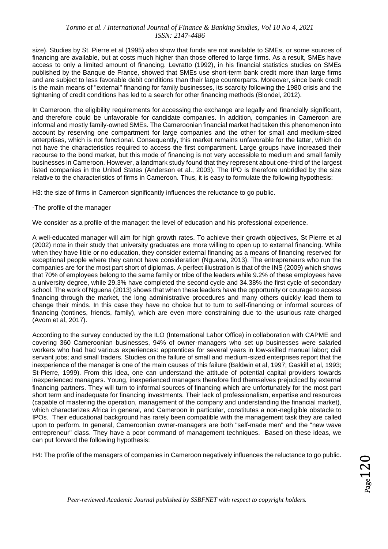size). Studies by St. Pierre et al (1995) also show that funds are not available to SMEs, or some sources of financing are available, but at costs much higher than those offered to large firms. As a result, SMEs have access to only a limited amount of financing. Levratto (1992), in his financial statistics studies on SMEs published by the Banque de France, showed that SMEs use short-term bank credit more than large firms and are subject to less favorable debit conditions than their large counterparts. Moreover, since bank credit is the main means of "external" financing for family businesses, its scarcity following the 1980 crisis and the tightening of credit conditions has led to a search for other financing methods (Blondel, 2012).

In Cameroon, the eligibility requirements for accessing the exchange are legally and financially significant, and therefore could be unfavorable for candidate companies. In addition, companies in Cameroon are informal and mostly family-owned SMEs. The Cameroonian financial market had taken this phenomenon into account by reserving one compartment for large companies and the other for small and medium-sized enterprises, which is not functional. Consequently, this market remains unfavorable for the latter, which do not have the characteristics required to access the first compartment. Large groups have increased their recourse to the bond market, but this mode of financing is not very accessible to medium and small family businesses in Cameroon. However, a landmark study found that they represent about one-third of the largest listed companies in the United States (Anderson et al., 2003). The IPO is therefore unbridled by the size relative to the characteristics of firms in Cameroon. Thus, it is easy to formulate the following hypothesis:

H3: the size of firms in Cameroon significantly influences the reluctance to go public.

#### -The profile of the manager

We consider as a profile of the manager: the level of education and his professional experience.

A well-educated manager will aim for high growth rates. To achieve their growth objectives, St Pierre et al (2002) note in their study that university graduates are more willing to open up to external financing. While when they have little or no education, they consider external financing as a means of financing reserved for exceptional people where they cannot have consideration (Nguena, 2013). The entrepreneurs who run the companies are for the most part short of diplomas. A perfect illustration is that of the INS (2009) which shows that 70% of employees belong to the same family or tribe of the leaders while 9.2% of these employees have a university degree, while 29.3% have completed the second cycle and 34.38% the first cycle of secondary school. The work of Nguena (2013) shows that when these leaders have the opportunity or courage to access financing through the market, the long administrative procedures and many others quickly lead them to change their minds. In this case they have no choice but to turn to self-financing or informal sources of financing (tontines, friends, family), which are even more constraining due to the usurious rate charged (Avom et al, 2017).

According to the survey conducted by the ILO (International Labor Office) in collaboration with CAPME and covering 360 Cameroonian businesses, 94% of owner-managers who set up businesses were salaried workers who had had various experiences: apprentices for several years in low-skilled manual labor; civil servant jobs; and small traders. Studies on the failure of small and medium-sized enterprises report that the inexperience of the manager is one of the main causes of this failure (Baldwin et al, 1997; Gaskill et al, 1993; St-Pierre, 1999). From this idea, one can understand the attitude of potential capital providers towards inexperienced managers. Young, inexperienced managers therefore find themselves prejudiced by external financing partners. They will turn to informal sources of financing which are unfortunately for the most part short term and inadequate for financing investments. Their lack of professionalism, expertise and resources (capable of mastering the operation, management of the company and understanding the financial market), which characterizes Africa in general, and Cameroon in particular, constitutes a non-negligible obstacle to IPOs. Their educational background has rarely been compatible with the management task they are called upon to perform. In general, Cameroonian owner-managers are both "self-made men" and the "new wave entrepreneur" class. They have a poor command of management techniques. Based on these ideas, we can put forward the following hypothesis:

H4: The profile of the managers of companies in Cameroon negatively influences the reluctance to go public.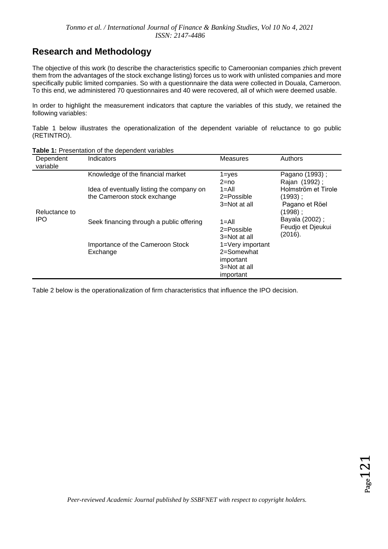### **Research and Methodology**

The objective of this work (to describe the characteristics specific to Cameroonian companies zhich prevent them from the advantages of the stock exchange listing) forces us to work with unlisted companies and more specifically public limited companies. So with a questionnaire the data were collected in Douala, Cameroon. To this end, we administered 70 questionnaires and 40 were recovered, all of which were deemed usable.

In order to highlight the measurement indicators that capture the variables of this study, we retained the following variables:

Table 1 below illustrates the operationalization of the dependent variable of reluctance to go public (RETINTRO).

| Dependent<br>variable | Indicators                                                               | <b>Measures</b>                                                          | Authors                                                         |  |  |  |
|-----------------------|--------------------------------------------------------------------------|--------------------------------------------------------------------------|-----------------------------------------------------------------|--|--|--|
|                       | Knowledge of the financial market                                        | $1 = y e s$<br>$2 = no$                                                  | Pagano (1993);<br>Rajan (1992);                                 |  |  |  |
| Reluctance to         | Idea of eventually listing the company on<br>the Cameroon stock exchange | $1 =$ All<br>2=Possible<br>3=Not at all                                  | Holmström et Tirole<br>(1993) ;<br>Pagano et Röel<br>$(1998)$ ; |  |  |  |
| <b>IPO</b>            | Seek financing through a public offering                                 | $1 =$ All<br>$2 = P$ ossible<br>3=Not at all                             | Bayala (2002);<br>Feudjo et Djeukui<br>(2016).                  |  |  |  |
|                       | Importance of the Cameroon Stock<br>Exchange                             | 1=Very important<br>2=Somewhat<br>important<br>3=Not at all<br>important |                                                                 |  |  |  |

**Table 1:** Presentation of the dependent variables

Table 2 below is the operationalization of firm characteristics that influence the IPO decision.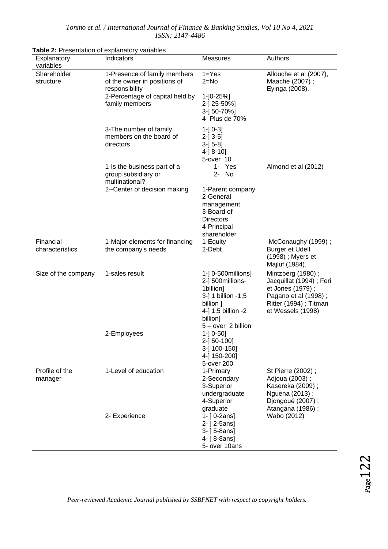| Explanatory<br>variables     | Indicators                                                                                                                          | <b>Measures</b>                                                                                                                                 | Authors                                                                                                                                |  |  |
|------------------------------|-------------------------------------------------------------------------------------------------------------------------------------|-------------------------------------------------------------------------------------------------------------------------------------------------|----------------------------------------------------------------------------------------------------------------------------------------|--|--|
| Shareholder<br>structure     | 1-Presence of family members<br>of the owner in positions of<br>responsibility<br>2-Percentage of capital held by<br>family members | $1 = Yes$<br>$2 = No$<br>$1 - 0 - 25%$<br>2-] 25-50%]<br>3-] 50-70%]<br>4- Plus de 70%                                                          | Allouche et al (2007),<br>Maache (2007);<br>Eyinga (2008).                                                                             |  |  |
|                              | 3-The number of family<br>members on the board of<br>directors                                                                      | $1 - 0 - 3$<br>$2-]$ 3-5]<br>$3-] 5-8]$<br>4-] 8-10]<br>5-over 10                                                                               |                                                                                                                                        |  |  |
|                              | 1-Is the business part of a<br>group subsidiary or<br>multinational?                                                                | 1- Yes<br>$2 -$<br>No                                                                                                                           | Almond et al (2012)                                                                                                                    |  |  |
|                              | 2--Center of decision making                                                                                                        | 1-Parent company<br>2-General<br>management<br>3-Board of<br><b>Directors</b><br>4-Principal<br>shareholder                                     |                                                                                                                                        |  |  |
| Financial<br>characteristics | 1-Major elements for financing<br>the company's needs                                                                               | 1-Equity<br>2-Debt                                                                                                                              | McConaughy (1999);<br><b>Burger et Udell</b><br>(1998) ; Myers et<br>Majluf (1984).                                                    |  |  |
| Size of the company          | 1-sales result                                                                                                                      | 1-] 0-500 millions]<br>2-] 500millions-<br>1billion]<br>3-] 1 billion -1,5<br>billion ]<br>4-] 1,5 billion -2<br>billion]<br>5 - over 2 billion | Mintzberg (1980);<br>Jacquillat (1994); Feri<br>et Jones (1979);<br>Pagano et al (1998);<br>Ritter (1994); Titman<br>et Wessels (1998) |  |  |
|                              | 2-Employees                                                                                                                         | $1 - 0 - 50$<br>2-] 50-100]<br>3-] 100-150]<br>4-] 150-200]<br>5-over 200                                                                       |                                                                                                                                        |  |  |
| Profile of the<br>manager    | 1-Level of education                                                                                                                | 1-Primary<br>2-Secondary<br>3-Superior<br>undergraduate<br>4-Superior<br>graduate                                                               | St Pierre (2002);<br>Adjoua (2003);<br>Kasereka (2009);<br>Nguena (2013);<br>Djongoué (2007);<br>Atangana (1986);                      |  |  |
|                              | 2- Experience                                                                                                                       | $1 - 0 - 2ans$<br>2-   2-5ans]<br>$3 - 15 - 8$ ans]<br>4- ] 8-8ans]<br>5- over 10ans                                                            | Wabo (2012)                                                                                                                            |  |  |

**Table 2:** Presentation of explanatory variables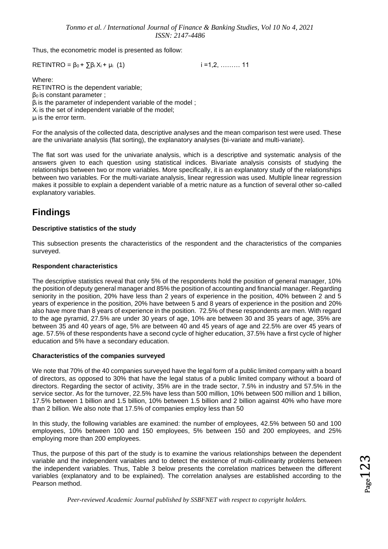Thus, the econometric model is presented as follow:

 $RETIMEO = \beta_0 + \sum \beta_i X_i + \mu_i$  (1) i =1,2, ……… 11

Where: RETINTRO is the dependent variable;  $β<sub>0</sub>$  is constant parameter ; β<sup>i</sup> is the parameter of independent variable of the model ;  $X_i$  is the set of independent variable of the model; µ<sup>i</sup> is the error term.

For the analysis of the collected data, descriptive analyses and the mean comparison test were used. These are the univariate analysis (flat sorting), the explanatory analyses (bi-variate and multi-variate).

The flat sort was used for the univariate analysis, which is a descriptive and systematic analysis of the answers given to each question using statistical indices. Bivariate analysis consists of studying the relationships between two or more variables. More specifically, it is an explanatory study of the relationships between two variables. For the multi-variate analysis, linear regression was used. Multiple linear regression makes it possible to explain a dependent variable of a metric nature as a function of several other so-called explanatory variables.

### **Findings**

#### **Descriptive statistics of the study**

This subsection presents the characteristics of the respondent and the characteristics of the companies surveyed.

#### **Respondent characteristics**

The descriptive statistics reveal that only 5% of the respondents hold the position of general manager, 10% the position of deputy general manager and 85% the position of accounting and financial manager. Regarding seniority in the position, 20% have less than 2 years of experience in the position, 40% between 2 and 5 years of experience in the position, 20% have between 5 and 8 years of experience in the position and 20% also have more than 8 years of experience in the position. 72.5% of these respondents are men. With regard to the age pyramid, 27.5% are under 30 years of age, 10% are between 30 and 35 years of age, 35% are between 35 and 40 years of age, 5% are between 40 and 45 years of age and 22.5% are over 45 years of age. 57.5% of these respondents have a second cycle of higher education, 37.5% have a first cycle of higher education and 5% have a secondary education.

#### **Characteristics of the companies surveyed**

We note that 70% of the 40 companies surveyed have the legal form of a public limited company with a board of directors, as opposed to 30% that have the legal status of a public limited company without a board of directors. Regarding the sector of activity, 35% are in the trade sector, 7.5% in industry and 57.5% in the service sector. As for the turnover, 22.5% have less than 500 million, 10% between 500 million and 1 billion, 17.5% between 1 billion and 1.5 billion, 10% between 1.5 billion and 2 billion against 40% who have more than 2 billion. We also note that 17.5% of companies employ less than 50

In this study, the following variables are examined: the number of employees, 42.5% between 50 and 100 employees, 10% between 100 and 150 employees, 5% between 150 and 200 employees, and 25% employing more than 200 employees.

Thus, the purpose of this part of the study is to examine the various relationships between the dependent variable and the independent variables and to detect the existence of multi-collinearity problems between the independent variables. Thus, Table 3 below presents the correlation matrices between the different variables (explanatory and to be explained). The correlation analyses are established according to the Pearson method.

 $Page123$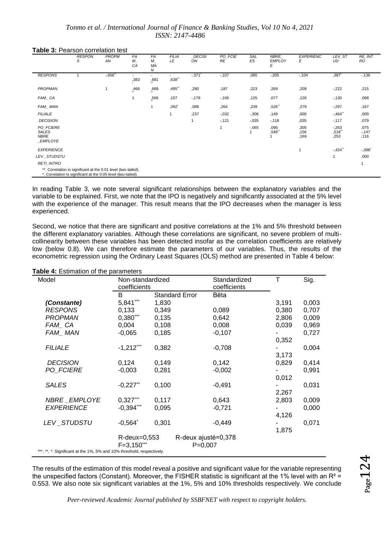**Table 3:** Pearson correlation test

|                                                               | <b>RESPON</b><br>S                                             | <b>PROPM</b><br>AN | <b>FA</b><br>M<br>CA | <b>FA</b><br>$M_{-}$<br>MA<br>Ν | <b>FILIA</b><br>LE  | <b>DECISI</b><br>ON | PO_FCIE<br>RE | SAL<br>ES | NBRE<br><b>EMPLOY</b><br>Ε | <b>EXPERIENC</b><br>Е | LEV_ST<br>UD           | RE_INT<br><b>RO</b>    |
|---------------------------------------------------------------|----------------------------------------------------------------|--------------------|----------------------|---------------------------------|---------------------|---------------------|---------------|-----------|----------------------------|-----------------------|------------------------|------------------------|
| <b>RESPONS</b>                                                |                                                                | $-0.656$           | ,383                 | -<br>,681                       | ,638"               | $-371$              | $-107$        | ,085      | $-205$                     | $-104$                | ,387                   | $-136$                 |
| <b>PROPMAN</b>                                                |                                                                |                    | ,466                 | ,689                            | ,495"               | ,280                | ,187          | ,223      | ,269                       | ,209                  | $-222$                 | ,215                   |
| FAM_CA                                                        |                                                                |                    | 1                    | ,566                            | ,107                | $-178$              | $-106$        | ,125      | ,077                       | ,126                  | $-130$                 | ,068                   |
| FAM_MAN                                                       |                                                                |                    |                      | 1                               | $,392$ <sup>*</sup> | ,088                | ,264          | ,239      | ,526"                      | ,279                  | $-297$                 | ,167                   |
| <b>FILIALE</b>                                                |                                                                |                    |                      |                                 |                     | ,237                | $-0.032$      | $-0.306$  | ,149                       | ,000                  | $-.464"$               | ,000                   |
| <b>DECISION</b>                                               |                                                                |                    |                      |                                 |                     |                     | $-121$        | $-0.035$  | $-118$                     | ,035                  | $-117$                 | ,079                   |
| PO FCIERE<br><b>SALES</b><br><b>NBRE</b><br>_EMPLOYE          |                                                                |                    |                      |                                 |                     |                     |               | $-0.065$  | ,095<br>,546"              | ,305<br>,156<br>,169  | $-263$<br>,518<br>,253 | ,075<br>$-147$<br>,116 |
| <b>EXPERIENCE</b>                                             |                                                                |                    |                      |                                 |                     |                     |               |           |                            |                       | $-424$                 | $-398'$                |
| LEV_STUDSTU                                                   |                                                                |                    |                      |                                 |                     |                     |               |           |                            |                       |                        | ,000                   |
| <b>RETI INTRO</b>                                             |                                                                |                    |                      |                                 |                     |                     |               |           |                            |                       |                        |                        |
| *. Correlation is significant at the 0.05 level (two-tailed). | **. Correlation is significant at the 0.01 level (two-tailed). |                    |                      |                                 |                     |                     |               |           |                            |                       |                        |                        |

In reading Table 3, we note several significant relationships between the explanatory variables and the variable to be explained. First, we note that the IPO is negatively and significantly associated at the 5% level with the experience of the manager. This result means that the IPO decreases when the manager is less experienced.

Second, we notice that there are significant and positive correlations at the 1% and 5% threshold between the different explanatory variables. Although these correlations are significant, no severe problem of multicollinearity between these variables has been detected insofar as the correlation coefficients are relatively low (below 0.8). We can therefore estimate the parameters of our variables. Thus, the results of the econometric regression using the Ordinary Least Squares (OLS) method are presented in Table 4 below:

| Model                                                                  | Non-standardized<br>coefficients |       | Standardized<br>coefficients     |          |  | Τ     | Sig.  |  |
|------------------------------------------------------------------------|----------------------------------|-------|----------------------------------|----------|--|-------|-------|--|
|                                                                        | B                                |       | <b>Standard Error</b>            | Bêta     |  |       |       |  |
| (Constante)                                                            | 5,841***                         | 1,830 |                                  |          |  | 3,191 | 0,003 |  |
| <b>RESPONS</b>                                                         | 0,133                            | 0.349 |                                  | 0,089    |  | 0,380 | 0,707 |  |
| <b>PROPMAN</b>                                                         | $0,380***$                       | 0,135 |                                  | 0,642    |  | 2,806 | 0,009 |  |
| FAM CA                                                                 | 0,004                            | 0,108 |                                  | 0,008    |  | 0,039 | 0,969 |  |
| FAM MAN                                                                | $-0,065$                         | 0,185 |                                  | $-0,107$ |  |       | 0,727 |  |
|                                                                        |                                  |       |                                  |          |  | 0,352 |       |  |
| <b>FILIALE</b>                                                         | $-1,212***$                      | 0,382 |                                  | $-0,708$ |  |       | 0,004 |  |
|                                                                        |                                  |       |                                  |          |  | 3,173 |       |  |
| <b>DECISION</b>                                                        | 0,124                            | 0,149 |                                  | 0,142    |  | 0,829 | 0,414 |  |
| PO FCIERE                                                              | $-0,003$                         | 0,281 |                                  | $-0,002$ |  |       | 0,991 |  |
|                                                                        |                                  |       |                                  |          |  | 0,012 |       |  |
| <b>SALES</b>                                                           | $-0,227"$                        | 0,100 |                                  | $-0,491$ |  |       | 0,031 |  |
|                                                                        |                                  |       |                                  |          |  | 2,267 |       |  |
| NBRE EMPLOYE                                                           | $0,327***$                       | 0,117 |                                  | 0,643    |  | 2,803 | 0,009 |  |
| <b>EXPERIENCE</b>                                                      | $-0,394***$                      | 0,095 |                                  | $-0,721$ |  |       | 0,000 |  |
|                                                                        |                                  |       |                                  |          |  | 4,126 |       |  |
| LEV STUDSTU                                                            | $-0,564"$                        | 0,301 |                                  | $-0,449$ |  |       | 0,071 |  |
|                                                                        |                                  |       |                                  |          |  | 1,875 |       |  |
|                                                                        | $R$ -deux=0,553<br>$F = 3,150$   |       | R-deux ajusté=0,378<br>$P=0,007$ |          |  |       |       |  |
|                                                                        |                                  |       |                                  |          |  |       |       |  |
| ***, **, *: Significant at the 1%, 5% and 10% threshold, respectively. |                                  |       |                                  |          |  |       |       |  |

#### **Table 4:** Estimation of the parameters

The results of the estimation of this model reveal a positive and significant value for the variable representing the unspecified factors (Constant). Moreover, the FISHER statistic is significant at the 1% level with an  $R^2 =$ 0.553. We also note six significant variables at the 1%, 5% and 10% thresholds respectively. We conclude

 $_{\rm Page}$   $124$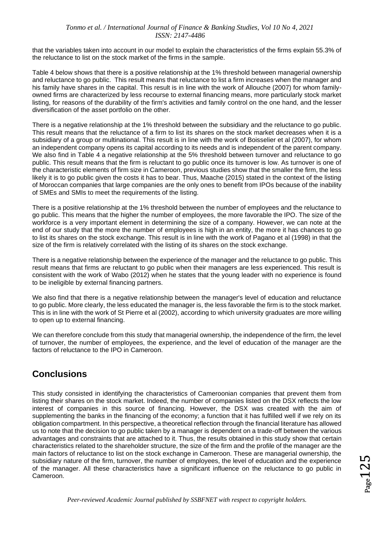that the variables taken into account in our model to explain the characteristics of the firms explain 55.3% of the reluctance to list on the stock market of the firms in the sample.

Table 4 below shows that there is a positive relationship at the 1% threshold between managerial ownership and reluctance to go public. This result means that reluctance to list a firm increases when the manager and his family have shares in the capital. This result is in line with the work of Allouche (2007) for whom familyowned firms are characterized by less recourse to external financing means, more particularly stock market listing, for reasons of the durability of the firm's activities and family control on the one hand, and the lesser diversification of the asset portfolio on the other.

There is a negative relationship at the 1% threshold between the subsidiary and the reluctance to go public. This result means that the reluctance of a firm to list its shares on the stock market decreases when it is a subsidiary of a group or multinational. This result is in line with the work of Boisselier et al (2007), for whom an independent company opens its capital according to its needs and is independent of the parent company. We also find in Table 4 a negative relationship at the 5% threshold between turnover and reluctance to go public. This result means that the firm is reluctant to go public once its turnover is low. As turnover is one of the characteristic elements of firm size in Cameroon, previous studies show that the smaller the firm, the less likely it is to go public given the costs it has to bear. Thus, Maache (2015) stated in the context of the listing of Moroccan companies that large companies are the only ones to benefit from IPOs because of the inability of SMEs and SMIs to meet the requirements of the listing.

There is a positive relationship at the 1% threshold between the number of employees and the reluctance to go public. This means that the higher the number of employees, the more favorable the IPO. The size of the workforce is a very important element in determining the size of a company. However, we can note at the end of our study that the more the number of employees is high in an entity, the more it has chances to go to list its shares on the stock exchange. This result is in line with the work of Pagano et al (1998) in that the size of the firm is relatively correlated with the listing of its shares on the stock exchange.

There is a negative relationship between the experience of the manager and the reluctance to go public. This result means that firms are reluctant to go public when their managers are less experienced. This result is consistent with the work of Wabo (2012) when he states that the young leader with no experience is found to be ineligible by external financing partners.

We also find that there is a negative relationship between the manager's level of education and reluctance to go public. More clearly, the less educated the manager is, the less favorable the firm is to the stock market. This is in line with the work of St Pierre et al (2002), according to which university graduates are more willing to open up to external financing.

We can therefore conclude from this study that managerial ownership, the independence of the firm, the level of turnover, the number of employees, the experience, and the level of education of the manager are the factors of reluctance to the IPO in Cameroon.

### **Conclusions**

This study consisted in identifying the characteristics of Cameroonian companies that prevent them from listing their shares on the stock market. Indeed, the number of companies listed on the DSX reflects the low interest of companies in this source of financing. However, the DSX was created with the aim of supplementing the banks in the financing of the economy; a function that it has fulfilled well if we rely on its obligation compartment. In this perspective, a theoretical reflection through the financial literature has allowed us to note that the decision to go public taken by a manager is dependent on a trade-off between the various advantages and constraints that are attached to it. Thus, the results obtained in this study show that certain characteristics related to the shareholder structure, the size of the firm and the profile of the manager are the main factors of reluctance to list on the stock exchange in Cameroon. These are managerial ownership, the subsidiary nature of the firm, turnover, the number of employees, the level of education and the experience of the manager. All these characteristics have a significant influence on the reluctance to go public in Cameroon.